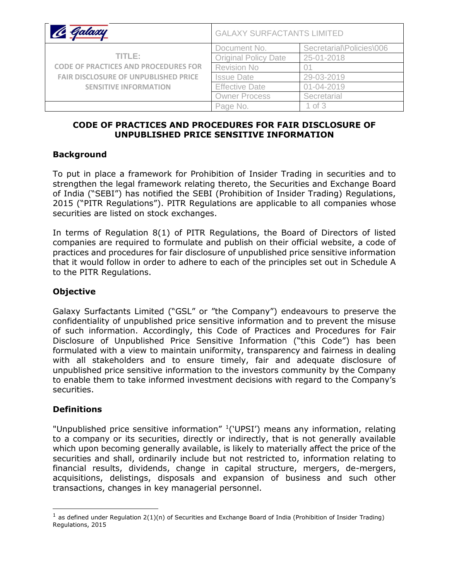| Galaxy                                      | <b>GALAXY SURFACTANTS LIMITED</b> |                          |
|---------------------------------------------|-----------------------------------|--------------------------|
|                                             | Document No.                      | Secretarial\Policies\006 |
| TITI E:                                     | <b>Original Policy Date</b>       | 25-01-2018               |
| <b>CODE OF PRACTICES AND PROCEDURES FOR</b> | <b>Revision No</b>                |                          |
| <b>FAIR DISCLOSURE OF UNPUBLISHED PRICE</b> | <b>Issue Date</b>                 | 29-03-2019               |
| <b>SENSITIVE INFORMATION</b>                | <b>Effective Date</b>             | $01 - 04 - 2019$         |
|                                             | <b>Owner Process</b>              | Secretarial              |
|                                             | Page No.                          | $1$ of $3$               |

### **CODE OF PRACTICES AND PROCEDURES FOR FAIR DISCLOSURE OF UNPUBLISHED PRICE SENSITIVE INFORMATION**

#### **Background**

To put in place a framework for Prohibition of Insider Trading in securities and to strengthen the legal framework relating thereto, the Securities and Exchange Board of India ("SEBI") has notified the SEBI (Prohibition of Insider Trading) Regulations, 2015 ("PITR Regulations"). PITR Regulations are applicable to all companies whose securities are listed on stock exchanges.

In terms of Regulation 8(1) of PITR Regulations, the Board of Directors of listed companies are required to formulate and publish on their official website, a code of practices and procedures for fair disclosure of unpublished price sensitive information that it would follow in order to adhere to each of the principles set out in Schedule A to the PITR Regulations.

# **Objective**

Galaxy Surfactants Limited ("GSL" or "the Company") endeavours to preserve the confidentiality of unpublished price sensitive information and to prevent the misuse of such information. Accordingly, this Code of Practices and Procedures for Fair Disclosure of Unpublished Price Sensitive Information ("this Code") has been formulated with a view to maintain uniformity, transparency and fairness in dealing with all stakeholders and to ensure timely, fair and adequate disclosure of unpublished price sensitive information to the investors community by the Company to enable them to take informed investment decisions with regard to the Company's securities.

#### **Definitions**

 $\overline{a}$ 

"Unpublished price sensitive information" <sup>1</sup> ('UPSI') means any information, relating to a company or its securities, directly or indirectly, that is not generally available which upon becoming generally available, is likely to materially affect the price of the securities and shall, ordinarily include but not restricted to, information relating to financial results, dividends, change in capital structure, mergers, de-mergers, acquisitions, delistings, disposals and expansion of business and such other transactions, changes in key managerial personnel.

<sup>&</sup>lt;sup>1</sup> as defined under Regulation 2(1)(n) of Securities and Exchange Board of India (Prohibition of Insider Trading) Regulations, 2015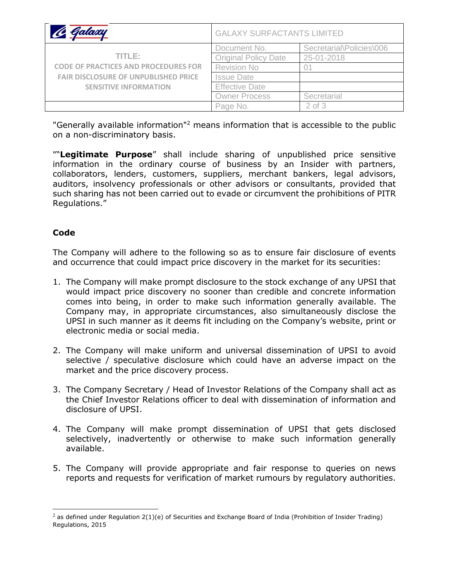| Talazy                                      | <b>GALAXY SURFACTANTS LIMITED</b> |                          |
|---------------------------------------------|-----------------------------------|--------------------------|
|                                             | Document No.                      | Secretarial\Policies\006 |
| TITI E:                                     | <b>Original Policy Date</b>       | 25-01-2018               |
| <b>CODE OF PRACTICES AND PROCEDURES FOR</b> | <b>Revision No</b>                |                          |
| <b>FAIR DISCLOSURE OF UNPUBLISHED PRICE</b> | <b>Issue Date</b>                 |                          |
| <b>SENSITIVE INFORMATION</b>                | <b>Effective Date</b>             |                          |
|                                             | <b>Owner Process</b>              | Secretarial              |
|                                             | Page No.                          | $2$ of $3$               |

"Generally available information"<sup>2</sup> means information that is accessible to the public on a non-discriminatory basis.

""**Legitimate Purpose**" shall include sharing of unpublished price sensitive information in the ordinary course of business by an Insider with partners, collaborators, lenders, customers, suppliers, merchant bankers, legal advisors, auditors, insolvency professionals or other advisors or consultants, provided that such sharing has not been carried out to evade or circumvent the prohibitions of PITR Regulations."

## **Code**

 $\overline{a}$ 

The Company will adhere to the following so as to ensure fair disclosure of events and occurrence that could impact price discovery in the market for its securities:

- 1. The Company will make prompt disclosure to the stock exchange of any UPSI that would impact price discovery no sooner than credible and concrete information comes into being, in order to make such information generally available. The Company may, in appropriate circumstances, also simultaneously disclose the UPSI in such manner as it deems fit including on the Company's website, print or electronic media or social media.
- 2. The Company will make uniform and universal dissemination of UPSI to avoid selective / speculative disclosure which could have an adverse impact on the market and the price discovery process.
- 3. The Company Secretary / Head of Investor Relations of the Company shall act as the Chief Investor Relations officer to deal with dissemination of information and disclosure of UPSI.
- 4. The Company will make prompt dissemination of UPSI that gets disclosed selectively, inadvertently or otherwise to make such information generally available.
- 5. The Company will provide appropriate and fair response to queries on news reports and requests for verification of market rumours by regulatory authorities.

 $2$  as defined under Regulation 2(1)(e) of Securities and Exchange Board of India (Prohibition of Insider Trading) Regulations, 2015